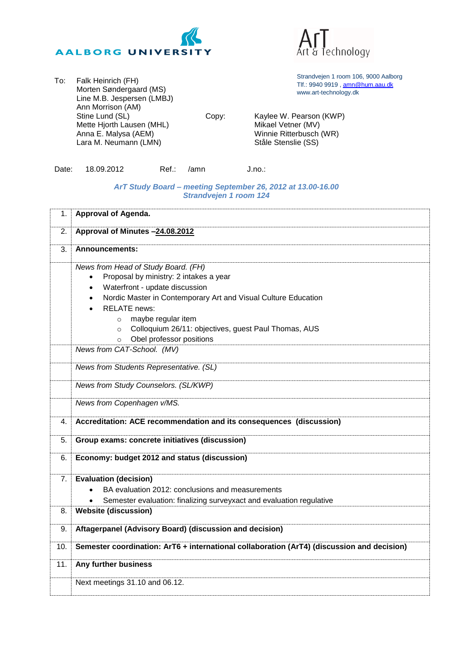



To: Falk Heinrich (FH) Morten Søndergaard (MS) Line M.B. Jespersen (LMBJ) Ann Morrison (AM) Stine Lund (SL) Mette Hjorth Lausen (MHL) Anna E. Malysa (AEM) Lara M. Neumann (LMN)

Strandvejen 1 room 106, 9000 Aalborg Tlf.: 9940 9919 , [amn@hum.aau.dk](mailto:amn@hum.aau.dk) www.art-technology.dk

Copy: Kaylee W. Pearson (KWP) Mikael Vetner (MV) Winnie Ritterbusch (WR) Ståle Stenslie (SS)

|  | Date: 18.09.2012 |  | Ref.: /amn | J.no.: |
|--|------------------|--|------------|--------|
|--|------------------|--|------------|--------|

## *ArT Study Board – meeting September 26, 2012 at 13.00-16.00 Strandvejen 1 room 124*

| 1.  | Approval of Agenda.                                                                                                                                                                                                                                                                                                                                                                                                      |
|-----|--------------------------------------------------------------------------------------------------------------------------------------------------------------------------------------------------------------------------------------------------------------------------------------------------------------------------------------------------------------------------------------------------------------------------|
| 2.  | Approval of Minutes -24.08.2012                                                                                                                                                                                                                                                                                                                                                                                          |
| 3.  | <b>Announcements:</b>                                                                                                                                                                                                                                                                                                                                                                                                    |
|     | News from Head of Study Board. (FH)<br>Proposal by ministry: 2 intakes a year<br>Waterfront - update discussion<br>$\bullet$<br>Nordic Master in Contemporary Art and Visual Culture Education<br>$\bullet$<br><b>RELATE</b> news:<br>$\bullet$<br>maybe regular item<br>$\circ$<br>Colloquium 26/11: objectives, guest Paul Thomas, AUS<br>$\circ$<br>Obel professor positions<br>$\circ$<br>News from CAT-School. (MV) |
|     | News from Students Representative. (SL)                                                                                                                                                                                                                                                                                                                                                                                  |
|     | News from Study Counselors. (SL/KWP)                                                                                                                                                                                                                                                                                                                                                                                     |
|     | News from Copenhagen v/MS.                                                                                                                                                                                                                                                                                                                                                                                               |
| 4.  | Accreditation: ACE recommendation and its consequences (discussion)                                                                                                                                                                                                                                                                                                                                                      |
| 5.  | Group exams: concrete initiatives (discussion)                                                                                                                                                                                                                                                                                                                                                                           |
| 6.  | Economy: budget 2012 and status (discussion)                                                                                                                                                                                                                                                                                                                                                                             |
| 7.  | <b>Evaluation (decision)</b>                                                                                                                                                                                                                                                                                                                                                                                             |
|     | BA evaluation 2012: conclusions and measurements                                                                                                                                                                                                                                                                                                                                                                         |
| 8.  | Semester evaluation: finalizing surveyxact and evaluation regulative<br>$\bullet$<br><b>Website (discussion)</b>                                                                                                                                                                                                                                                                                                         |
|     |                                                                                                                                                                                                                                                                                                                                                                                                                          |
| 9.  | Aftagerpanel (Advisory Board) (discussion and decision)                                                                                                                                                                                                                                                                                                                                                                  |
| 10. | Semester coordination: ArT6 + international collaboration (ArT4) (discussion and decision)                                                                                                                                                                                                                                                                                                                               |
| 11. | Any further business                                                                                                                                                                                                                                                                                                                                                                                                     |
|     | Next meetings 31.10 and 06.12.                                                                                                                                                                                                                                                                                                                                                                                           |